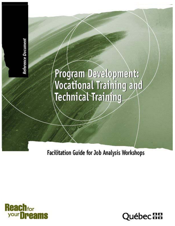Reference Document

# Program Development: Vocational Training and<br>Technical Training

**Facilitation Guide for Job Analysis Workshops** 



Québec B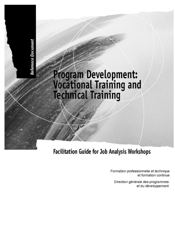

Formation professionnelle et technique et formation continue

Direction générale des programmes et du développement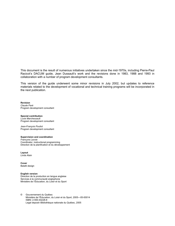This document is the result of numerous initiatives undertaken since the mid-1970s, including Pierre-Paul Racicot's DACUM guide, Jean Dussault's work and the revisions done in 1983, 1988 and 1993 in collaboration with a number of program development consultants.

This version of the guide underwent some minor revisions in July 2002, but updates to reference materials related to the development of vocational and technical training programs will be incorporated in the next publication.

**Revision** *Claude Paré*  Program development consultant

#### **Special contribution**

*Lucie Marchessault*  Program development consultant

*Jean-François Pouliot*  Program development consultant

#### **Supervision and coordination**

*Francyne Lavoie*  Coordinator, instructional programming Direction de la planification et du développement

# **Layout**

*Linda Alain* 

**Cover**  Balatti design

#### **English version**

Direction de la production en langue anglaise Services à la communauté anglophone Ministère de l'Éducation, du Loisir et du Sport

© Gouvernement du Québec Ministère de l'Éducation, du Loisir et du Sport, 2005—05-00014 ISBN: 2-550-44228-8 Legal deposit–Bibliothèque nationale du Québec, 2005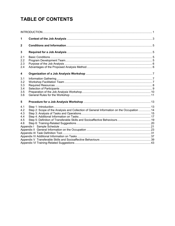# **TABLE OF CONTENTS**

| 1                                      |                                                                                           |  |
|----------------------------------------|-------------------------------------------------------------------------------------------|--|
| $\mathbf 2$                            |                                                                                           |  |
| 3                                      |                                                                                           |  |
| 2.1<br>2.2<br>2.3<br>2.4               |                                                                                           |  |
| 4                                      |                                                                                           |  |
| 3.1<br>3.2<br>3.3<br>3.4<br>3.5<br>3.6 |                                                                                           |  |
| 5                                      |                                                                                           |  |
| 4.1<br>4.2<br>4.3<br>44<br>4.5<br>4.6  | Step 2: Scope of the Analysis and Collection of General Information on the Occupation  14 |  |
|                                        |                                                                                           |  |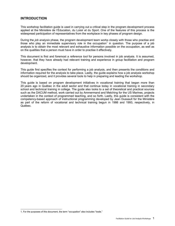# **INTRODUCTION**

This workshop facilitation guide is used in carrying out a critical step in the program development process applied at the Ministère de l'Éducation, du Loisir et du Sport. One of the features of this process is the widespread participation of representatives from the workplace in key phases of program design.

During the *job analysis* phase, the program development team works closely with those who practise and those who play an immediate supervisory role in the occupation<sup>1</sup> in question. The purpose of a job analysis is to obtain the most relevant and exhaustive information possible on the occupation, as well as on the qualities that a person must have in order to practise it effectively.

This document is first and foremost a *reference tool* for persons involved in job analysis. It is assumed, however, that they have already had relevant training and experience in group facilitation and program development.

This guide first specifies the context for performing a job analysis, and then presents the conditions and information required for the analysis to take place. Lastly, the guide explains how a job analysis workshop should be organized, and it provides several tools to help in preparing and leading the workshop.

This guide is based on program development initiatives in vocational training that began more than 20 years ago in Québec in the adult sector and that continue today in vocational training in secondary school and technical training in college. The guide also looks to a set of theoretical and practical sources such as the DACUM method, work carried out by Ammermand and Melching for the US Marines, projects undertaken in the context of programmed teaching, and so forth. Lastly, this guide is consistent with the competency-based approach of instructional programming developed by Jean Dussault for the Ministère as part of the reform of vocational and technical training begun in 1986 and 1993, respectively, in Québec.

l 1. For the purposes of this document, the term "occupation" also includes "trade."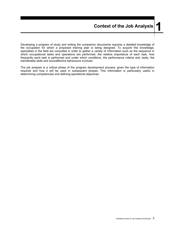Developing a program of study and writing the companion documents requires a detailed knowledge of the occupation for which a proposed training plan is being designed. To acquire this knowledge, specialists in the field are consulted in order to gather a variety of information such as the sequence in which occupational tasks and operations are performed, the relative importance of each task, how frequently each task is performed and under which conditions, the performance criteria and, lastly, the transferable skills and socioaffective behaviours involved.

The job analysis is a critical phase of the program development process, given the type of information required and how it will be used in subsequent phases. This information is particularly useful in determining competencies and defining operational objectives.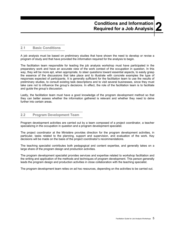# **2.1 Basic Conditions**

A job analysis must be based on preliminary studies that have shown the need to develop or revise a program of study and that have provided the information required for the analysis to begin.

The facilitation team responsible for leading the job analysis workshop must have participated in the preparatory work and have an accurate view of the work context of the occupation in question. In this way, they will be more apt, when appropriate, to steer questions toward essential aspects, to easily grasp the essence of the discussions that take place and to illustrate with concrete examples the type of responses expected of participants. It is generally sufficient for the facilitation team to use the results of preliminary studies, to consult existing task descriptions and to visit several businesses, since they must take care not to influence the group's decisions. In effect, the role of the facilitation team is to facilitate and guide the group's discussion.

Lastly, the facilitation team must have a good knowledge of the program development method so that they can better assess whether the information gathered is relevant and whether they need to delve further into certain areas.

# **2.2 Program Development Team**

Program development activities are carried out by a team composed of a project coordinator, a teacher specializing in the occupation in question and a program development specialist.

The project coordinator at the Ministère provides direction for the program development activities, in particular, tasks related to the planning, support and supervision, and evaluation of the work. Key decisions will be made on the basis of the project coordinator's recommendations.

The teaching specialist contributes both pedagogical and content expertise, and generally takes on a large share of the program design and production activities.

The program development specialist provides services and expertise related to workshop facilitation and the writing and application of the methods and techniques of program development. This person generally leads the program design and production activities in close collaboration with the teaching specialist.

The program development team relies on ad hoc resources, depending on the activities to be carried out.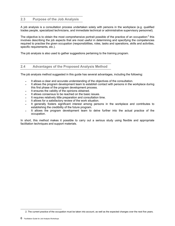# **2.3 Purpose of the Job Analysis**

A job analysis is a consultation process undertaken solely with persons in the workplace (e.g. qualified trades people, specialized technicians, and immediate technical or administrative supervisory personnel).

The objective is to obtain the most comprehensive portrait possible of the practice of an occupation: $^2$  this involves describing the job aspects that are most useful in determining and specifying the competencies required to practise the given occupation (responsibilities, roles, tasks and operations, skills and activities, specific requirements, etc.).

The job analysis is also used to gather suggestions pertaining to the training program.

# **2.4 Advantages of the Proposed Analysis Method**

The job analysis method suggested in this guide has several advantages, including the following:

- It allows a clear and accurate understanding of the objectives of the consultation.
- It allows the program development team to establish contact with persons in the workplace during this first phase of the program development process.
- It ensures the validity of the opinions obtained.
- It allows consensus to be reached on the basic issues.
- It requires relatively little preparation and consultation time.
- It allows for a satisfactory review of the work situation.
- It generally fosters significant interest among persons in the workplace and contributes to establishing the credibility of the future program.
- It allows the program development team to delve further into the actual practice of the occupation.

In short, this method makes it possible to carry out a serious study using flexible and appropriate facilitation techniques and support materials.

 <sup>2.</sup> The current practice of the occupation must be taken into account, as well as the expected changes over the next five years.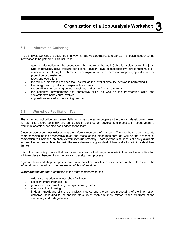# **3.1 Information Gathering**

A job analysis workshop is designed in a way that allows participants to organize in a logical sequence the information to be gathered. This includes:

- general information on the occupation: the nature of the work (job title, typical or related jobs, type of activities, etc.), working conditions (location, level of responsibility, stress factors, etc.), conditions for entering the job market, employment and remuneration prospects, opportunities for promotion or transfer, etc.
- tasks and operations
- the relative importance of each task, as well as the level of difficulty involved in performing it
- the categories of products or expected outcomes
- the conditions for carrying out each task, as well as performance criteria
- the cognitive, psychomotor and perceptive skills, as well as the transferable skills and socioaffective behaviours involved
- suggestions related to the training program

# **3.2 Workshop Facilitation Team**

The workshop facilitation team essentially comprises the same people as the program development team. Its role is to ensure continuity and coherence in the program development process. In recent years, a workshop secretary has also been added to the team.

Close collaboration must exist among the different members of the team. The members' clear, accurate comprehension of their respective roles and those of the other members, as well as the absence of competition, will help the job analysis workshop run smoothly. Team members must be sufficiently available to meet the requirements of the task (the work demands a great deal of time and effort within a short time frame).

It is of the utmost importance that team members realize that the job analysis influences the activities that will take place subsequently in the program development process.

A job analysis workshop comprises three main activities: facilitation, assessment of the relevance of the information gathered, and the processing of this information.

*Workshop facilitation* is entrusted to the team member who has:

- extensive experience in workshop facilitation
- excellent interpersonal skills
- great ease in reformulating and synthesizing ideas
- rigorous critical thinking
- in-depth knowledge of the job analysis method and the ultimate processing of the information gathered, according to the specific structure of each document related to the programs at the secondary and college levels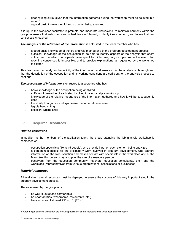- good writing skills, given that the information gathered during the workshop must be collated in a report<sup>3</sup>
- a good basic knowledge of the occupation being analyzed

It is up to the workshop facilitator to promote and moderate discussions, to maintain harmony within the group, to ensure that instructions and schedules are followed, to clarify ideas put forth, and to see that real consensus is reached.

**The analysis of the relevance of the information** is entrusted to the team member who has:

- a good basic knowledge of the job analysis method and of the program development process
- sufficient knowledge of the occupation to be able to identify aspects of the analysis that seem critical and on which participants have spent too little time, to give opinions in the event that reaching consensus is impossible, and to provide explanations as requested by the workshop facilitator

This team member analyzes the validity of the information, and ensures that the analysis is thorough and that the description of the occupation and its working conditions are sufficient for the analysis process to continue.

*The processing of information* is entrusted to a secretary who has:

- basic knowledge of the occupation being analyzed
- sufficient knowledge of each step involved in a job analysis workshop
- knowledge of the relative importance of the information gathered and how it will be subsequently used
- the ability to organize and synthesize the information received
- legible handwriting
- excellent writing skills

# **3.3 Required Resources**

#### *Human resources*

In addition to the members of the facilitation team, the group attending the job analysis workshop is composed of:

- occupation specialists (10 to 15 people), who provide input on each element being analyzed
- a person responsible for the preliminary work involved in program development, who gathers information on the work situation and makes contact with specialists in the workplace and at the Ministère; this person may also play the role of a resource person
- observers from the education community (teachers, education consultants, etc.) and the workplace (representatives from various organizations, associations or businesses)

#### *Material resources*

All available material resources must be deployed to ensure the success of this very important step in the program development process.

The room used by the group must:

- be well lit, quiet and comfortable
- be near facilities (washrooms, restaurants, etc.)
- have an area of at least 750 sq. ft. (70 m<sup>2</sup>)

-

<sup>3.</sup> After the job analysis workshop, the workshop facilitator or the secretary must write a job analysis report.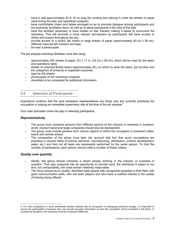- have a wall approximately 20 ft. (6 m) long (for posting and placing in order the sheets of paper used during the task and operations analysis)
- have comfortable chairs and tables arranged so as to promote dialogue among participants and the workshop facilitation team, as well as to allow participants a full view of the wall
- have the facilities necessary to have breaks on site, thereby making it easier to reconvene the workshop. This will promote a more relaxed atmosphere as participants will have access to drinks and snacks throughout the day.
- provide access to a board, flip charts or large sheets of paper (approximately 60 cm x 90 cm), different coloured felt markers and tape
- be near a photocopier

The job analysis workshop facilitator must also bring:

- approximately 300 sheets of paper,  $8\frac{1}{2} \times 11$  in. (22 cm x 28 cm), which will be used for the tasks and operations table
- sheets of coloured Bristol board (approximately 20), on which to write the tasks, job function and the categories of products or expected outcomes
- tape for the sheets
- photocopies of the workshop schedule
- checklists to be completed for additional information

# **3.4 Selection of Participants**

Experience confirms that the best workplace representatives are those who are currently practising the occupation or playing an immediate supervisory role at the time of the job analysis.<sup>4</sup>

Four main principles come into play in selecting participants:

# *Representativity*

- The group must comprise persons from different sectors of the industry or business in question; small, medium-sized and large companies should also be represented.
- The group must include persons from various regions in which the occupation is practised (cities, towns and remote areas).
- The composition of the group must take into account that fact that some occupations are practised in several fields of activity (services, manufacturing, distribution, product development, sales, etc.) and that not all tasks are necessarily performed by the same person. To limit the number of participants, each person should meet a number of these criteria.

#### *Quality over quantity*

-

- Ideally, the group should comprise a dozen people working in the industry or business in question. That way, everyone has an opportunity to provide input, the workshop is easier to run and, not unimportantly, the costs remain relatively reasonable.
- The focus should be on quality, therefore seek people with recognized expertise in their field, with good communication skills, who are team players and who have a marked interest in the quality of training being offered.

<sup>4.</sup> For new occupations or when preliminary studies indicate that an occupation is undergoing profound change, it is important to ensure the participation of persons who can provide accurate information on how this occupation will be practised in the future. In exceptional situations, the workshop could be composed differently.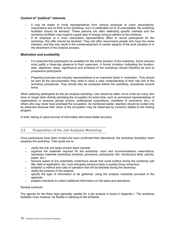# *Control of "political" interests*

- It may be easier to invite representatives from various employer or union associations, corporations and so forth to the workshop, but it is preferable not to (if unavoidable, the workshop facilitator should be advised). These persons are often defending specific interests and the workshop facilitator may expend a great deal of energy trying to adhere to the schedule.
- If an employer or a union association representative offers to recruit participants for the workshop, this offer should be declined. They will often recommend people who have the same interests, and this may result in the overdevelopment of certain aspects of the work situation or in the derailment of the analysis process.

# *Motivation and availability*

- It is essential that participants be available for the entire duration of the workshop. Some persons must justify a three-day absence to their supervisor. A formal invitation (indicating the location, date, objectives, steps, significance and schedule of the workshop) should therefore be sent to prospective participants.
- Preparing business and industry representatives is an important factor in motivation. They should be sent all the documentation they need to have a clear understanding of their role and of the workshop procedures. They should also be contacted before the workshop, sometimes several times.

When selecting participants for the job analysis workshop, care should be taken not to invite too many who have no longer been directly practising the occupation for some time, such as permanent representatives of organizations or pressure groups (unions, professional corporations, chambers of commerce, etc.), or others who may never have practised the occupation. As mentioned earlier, teachers should be invited only as observers because their views of the occupation may be influenced by concerns related to the training program.

In brief, relying on good sources of information will ensure better accuracy.

# **3.5 Preparation of the Job Analysis Workshop**

Once participants have been invited and have confirmed their attendance, the workshop facilitation team prepares the workshop. Their goals are to:

- clarify the role and tasks of each team member
- organize the materials required for the workshop: room and accommodations reservations, necessary materials (workshop schedule, procedure, participants' kits, introductory texts, pencils, paper, etc.)
- become aware of any potentially contentious issues that could surface during the workshop (job title, field of application, etc.) and anticipate solutions likely to quickly bring consensus
- establish a method and rules of operation that will be followed during the workshop
- clarify the purpose of the analysis
- specify the type of information to be gathered, using the analysis checklists provided in the appendix
- prepare checklists to collect additional information on the tasks and operations

#### Sample schedule

The agenda for the three days generally needed for a job analysis is found in Appendix I. The workshop facilitator must, however, be flexible in adhering to the schedule.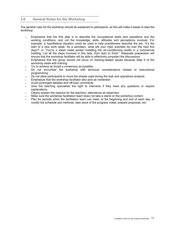# **3.6 General Rules for the Workshop**

The general rules for the workshop should be explained to participants, as this will make it easier to lead the workshop:

- Emphasize that the first step is to describe the occupational tasks and operations and the working conditions, and not the knowledge, skills, attitudes and perceptions involved. For example, a hypothetical situation could be used to help practitioners describe the job: "It's the start of a new work week. As a secretary, what will your main activities be over the next five days?" or "You're a sheet metal worker installing the air-conditioning shafts in a commercial building. List all the steps involved in this task, from start to finish." Adequate preparation will ensure that the workshop facilitator will be able to effectively jumpstart the discussions.
- Emphasize that the group should not focus on training-related issues because Step 6 of the workshop deals with training.
- Try to achieve as broad a consensus as possible.
- Do not encumber the workshop with technical considerations related to instructional programming.
- Do not allow participants to move the sheets used during the task and operations analysis.
- Emphasize that the workshop facilitator also acts as moderator.
- Avoid prolonged debates and off-topic comments.
- Give the teaching specialists the right to intervene if they have any questions or require explanations.
- Clearly explain the reasons for the teachers' attendance as observers.
- Make sure the workshop facilitation team does not take a stand on the workshop content.
- Plan for periods when the facilitation team can meet, at the beginning and end of each day, to modify the schedule and methods, take stock of the progress made, prepare proposals, etc.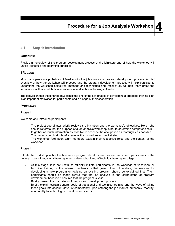# **4.1 Step 1: Introduction**

# *Objective*

Provide an overview of the program development process at the Ministère and of how the workshop will unfold (schedule and operating principles).

## *Situation*

Most participants are probably not familiar with the job analysis or program development process. A brief overview of how the workshop will proceed and the program development process will help participants understand the workshop objectives, methods and techniques and, most of all, will help them grasp the importance of their contribution to vocational and technical training in Québec.

The conviction that these three days constitute one of the key phases in developing a proposed training plan is an important motivation for participants and a pledge of their cooperation.

# *Procedure*

#### **Phase I**

Welcome and introduce participants.

- The project coordinator briefly reviews the invitation and the workshop's objectives. He or she should reiterate that the purpose of a job analysis workshop is not to determine competencies but to gather as much information as possible to describe the occupation as thoroughly as possible.
- The project coordinator briefly reviews the procedure for the first step.
- The workshop facilitation team members explain their respective roles and the context of the workshop.

#### **Phase II**

Situate the workshop within the Ministère's program development process and inform participants of the general goals of vocational training in secondary school and of technical training in college.

- At this stage, it is not useful to officially initiate participants in the workings of vocational or technical training or the internal mechanisms that govern them. Therefore, the reasons for developing a new program or revising an existing program should be explained first. Then, participants should be made aware that the job analysis is the cornerstone of program development because it ensures that the program is valid.
- Briefly present the main steps of the program development process.
- Briefly explain certain general goals of vocational and technical training and the ways of taking these goals into account (level of competency upon entering the job market, autonomy, mobility, adaptability to technological developments, etc.).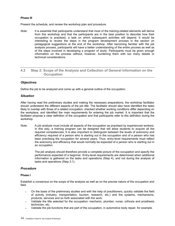## **Phase III**

Present the schedule, and review the workshop plan and procedure.

*Note:* It is essential that participants understand that most of the training-related elements will derive from this workshop and that the participants are in the best position to describe how their occupation is practised, a task on which subsequent activities will depend. It would be interesting to review the steps in the program development process in the section on pedagogical suggestions at the end of the workshop. After becoming familiar with the job analysis process, participants will have a better understanding of the entire process as well as of the steps involved in developing a program of study. Participants must be given enough information on the process without, however, burdening them with too many details or technical considerations.

# **4.2 Step 2: Scope of the Analysis and Collection of General Information on the Occupation**

# *Objectives*

Define the job to be analyzed and come up with a general outline of the occupation.

# *Situation*

After having read the preliminary studies and making the necessary preparations, the workshop facilitator should understand the different aspects of the job title. The facilitator should also have identified the tasks likely to overlap with those of a related occupation, checked whether working conditions differ depending on the workplace, and identified the main requirements for entering the job market. It is important that the facilitator propose a clear definition of the occupation and that participants refer to this definition during the workshop.

*Note:* A job analysis must include all aspects of the occupation as practised by experienced workers. In this way, a training program can be designed that will allow students to acquire all the required competencies. It is also important to distinguish between the levels of autonomy and efficiency required of a person who is starting out in the occupation and of a person who has been practising the occupation for several years. Thus, entry-level requirements must reflect the autonomy and efficiency that would normally be expected of a person who is starting out in an occupation.

> The job analysis should therefore provide a complete picture of the occupation and specify the performance expected of a beginner. Entry-level requirements are determined when additional information is gathered on the tasks and operations (Step 4), and not during the analysis of tasks and operations (Step 3.1).

# *Procedure*

#### **Phase I**

Establish a consensus on the scope of the analysis as well as on the precise nature of the occupation and field.

- On the basis of the preliminary studies and with the help of practitioners, quickly validate the field of activity (industry, transportation, tourism, research, etc.) and the systems, mechanisms, products, services and so forth associated with the work.
- Validate the title selected for the occupation: mechanic, plumber, nurse, orthosis and prosthesis technician, etc.
- Validate the job functions that are part of the occupation, in automotive body repair, for example.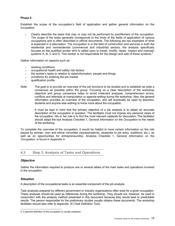## **Phase II**

Establish the scope of the occupation's field of application and gather general information on the occupation.

• Clearly describe the tasks that may or may not be performed by practitioners of the occupation. The scope of the tasks generally corresponds to the limits of the fields of application of various occupations and is often described in official documents. The following are two examples of what is expected in a description: The occupation is in the field of construction and services in both the residential and nonresidential (commercial and industrial) sectors; the analysis specifically focuses on the qualified worker who is called upon to install, modify, repair, inspect and maintain systems A, B, C and D. This worker is not responsible for the design and sale of these systems.<sup>5</sup>

Gather information on aspects such as:

- working conditions
- occupational health and safety risk factors
- the worker's tasks in relation to data/information, people and things
- conditions for entering the job market
- qualification profile
- *Note:* The goal is to provide an overview of the job functions to be studied and to establish as wide a consensus as possible within the group. Focusing on a clear description of the workshop objective and group consensus helps to avoid irrelevant analyses, comprehension errors, conflicts and attempts at manipulation or agenda-setting during the workshop. Also, the general information provides an overview of the occupation, and will eventually be used by teachers, students and anyone else wishing to know more about the occupation.

It must be kept in mind that the primary objective of a job analysis is to obtain an accurate description of the occupation in question. The facilitator must not impose any personal views of the occupation. His or her role is to find the most relevant catalysts for discussion. The facilitator should adapt the tool Analysis Checklist 1, *General Information on the Occupation* to the needs of the workshop.

To complete the overview of the occupation, it would be helpful to have certain information on the role played by women, men and ethnic minorities (representativity, obstacles to job entry, traditions, etc.), as well as on opportunities for entrepreneurship. Analysis Checklist 1, *General Information on the Occupation,* is found in Appendix II.

# **4.3 Step 3: Analysis of Tasks and Operations**

# *Objective*

Gather the information required to produce one or several tables of the main tasks and operations involved in the occupation.

# *Situation*

l

A description of the occupational tasks is an essential component of the job analysis.

Task analyses prepared by different government or industry organizations often exist for a given occupation. These analyses should be used as references during the workshop. They should not, however, be used in conjunction with the analysis method presented in this document because they would lead to predictable results. The person responsible for the preliminary studies usually obtains these documents. The workshop facilitator should also refer to Appendix III (*Task Definition Tool*).

<sup>5.</sup> A general definition of the occupation is usually prepared.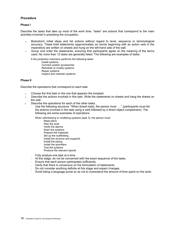# *Procedure*

## **Phase I**

Describe the tasks that take up most of the work time; "tasks" are actions that correspond to the main activities involved in practising the occupation.

- Brainstorm initial ideas and list actions without regard to level, sequence or terminological accuracy. These brief statements (approximately six words beginning with an action verb in the imperative) are written on sheets and hung on the left-hand side of the wall.
- Group and order the statements, ensuring that participants agree on the meaning of the terms used. No more than 12 tasks are generally listed. The following are examples of tasks:

A fire protection mechanic performs the following tasks:

Install systems Connect system accessories Refurbish or modify systems Repair systems Inspect and maintain systems

#### **Phase II**

Describe the operations that correspond to each task.

- Choose the first task or the one that appears the simplest.
- Describe the actions involved in this task. Write the statements on sheets and hang the sheets on the wall.
- Describe the operations for each of the other tasks.
	- Use the following structure: "When [insert task], the person must . . ." (participants must list the actions involved in the task using a verb followed by a direct object complement). The following are some examples of operations:

When refurbishing or modifying systems (task 3), the person must:

- Read plans Plan the work Verify the alarms Drain the systems Prepare the materials Set up the scaffolding Install the anchors and supports Install the piping Install the sprinklers Test the systems Produce the relevant reports
- Fully analyze one task at a time.
- At this stage, do not be concerned with the exact sequence of the tasks.
- Ensure that each person participates sufficiently.
- Verify that there is consensus on the formulation of statements.
- Do not consider anything definite at this stage and expect changes.
- Avoid being a language purist so as not to overextend the amount of time spent on the work.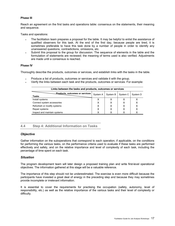# **Phase III**

Reach an agreement on the first tasks and operations table: consensus on the statements, their meaning and sequence.

Tasks and operations:

- The facilitation team prepares a proposal for the table. It may be helpful to enlist the assistance of qualified observers for this task. At the end of the first day, because people are tired, it is sometimes preferable to have this task done by a number of people in order to identify any unanswered questions, contradictions, omissions, etc.
- Submit this proposal to the group for discussion. The sequence of elements in the table and the formulation of statements are reviewed; the meaning of terms used is also verified. Adjustments are made until a consensus is reached.

#### **Phase IV**

Thoroughly describe the products, outcomes or services, and establish links with the tasks in the table.

- Produce a list of products, outcomes or services and validate it with the group.
- Verify the links between each task and the products, outcomes or services. For example:

| Links between the tasks and products, outcomes or services |          |          |          |          |  |  |
|------------------------------------------------------------|----------|----------|----------|----------|--|--|
| Products, outcomes or services<br><b>Tasks</b>             | System A | System B | System C | System D |  |  |
| Install systems                                            |          | x        | x        | x        |  |  |
| Connect system accessories                                 |          |          |          |          |  |  |
| Refurbish or modify systems                                |          |          | x        |          |  |  |
| Repair systems                                             |          |          | x        | x        |  |  |
| Inspect and maintain systems                               |          |          |          |          |  |  |

# **4.4 Step 4: Additional Information on Tasks**

#### *Objective*

Gather information on the suboperations that correspond to each operation, if applicable, on the conditions for performing the various tasks, on the performance criteria used to evaluate if these tasks are performed effectively and safely, and on the relative importance and level of complexity of each task, including the percentage of time spent on each task.

# *Situation*

The program development team will later design a proposed training plan and write first-level operational objectives. The information gathered at this stage will be a valuable reference.

The importance of this step should not be underestimated. The exercise is even more difficult because the participants have invested a great deal of energy in the preceding step and because they may sometimes provide incomplete or irrelevant information.

It is essential to cover the requirements for practising the occupation (safety, autonomy, level of responsibility, etc.) as well as the relative importance of the various tasks and their level of complexity or difficulty.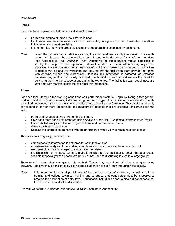# *Procedure*

## **Phase I**

Describe the suboperations that correspond to each operation.

- Form small groups of three or four (three is best).
- Each team describes the suboperations corresponding to a given number of validated operations in the tasks and operations table.
- If time permits, the whole group discusses the suboperations described by each team.
- *Note:* When the job function is relatively simple, the suboperations are obvious details of a simple action. In this case, the suboperations do not need to be described for all of the operations (see Appendix III, *Task Definition Tool*). Describing the suboperations makes it possible to identify the scope of each operation, information which is useful when writing objectives. Moreover, the exercise requires a great deal of participants, takes up a large portion of the time allotted to the job analysis workshop and requires that the facilitation team provide the teams with ongoing support and supervision. Because this information is gathered for reference purposes only and is not usually validated, the facilitation team should assess the need for delving further into the suboperations during the workshop. The facilitation team could meet at a later date with the field specialists to collect this information.

#### **Phase II**

For each task, describe the working conditions and performance criteria. Begin by listing a few general working conditions (environments, individual or group work, type of supervision, reference documents consulted, tools used, etc.) and a few general criteria for satisfactory performance. These criteria normally correspond to one or more (observable and measurable) aspects that are essential for carrying out the task.

- Form small groups of two or three (three is best).
- Give each team checklists prepared using Analysis Checklist 2, *Additional Information on Tasks*.
- Do a detailed analysis of the working conditions and performance criteria.
- Collect each team's answers.
- Discuss the information gathered with the participants with a view to reaching a consensus.

This procedure may vary, providing that:

- comprehensive information is gathered for each task studied
- an exhaustive analysis of the working conditions and performance criteria is carried out
- each participant is encouraged to share his or her views
- the discussion is managed so as to make it possible for the facilitator to obtain the best results possible (especially when people are unruly or not used to discussing issues in a large group)

There may be some disadvantages to this method. Teams may sometimes skirt issues or give vague answers. Problems may be mitigated by paying special attention to each team throughout the activity.

*Note:* It is important to remind participants of the general goals of secondary school vocational training and college technical training and to stress that candidates must be prepared to practise the occupation at entry level. Educational institutions offer training but not experience. It is important to make this distinction.

Analysis Checklist 2, *Additional Information on Tasks,* is found in Appendix IV.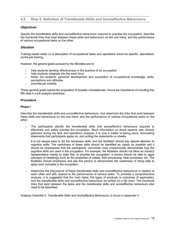# **4.5 Step 5: Definition of Transferable Skills and Socioaffective Behaviours**

# *Objectives*

Specify the transferable skills and socioaffective behaviours required to practise the occupation; describe the functional links that exist between these skills and behaviours on the one hand, and the performance of various occupational tasks on the other.

## *Situation*

Training based solely on a description of occupational tasks and operations would be specific, specialized, on-the-job training.

However, the general goals pursued by the Ministère are to:

- help students develop effectiveness in the practice of an occupation
- help students integrate into the work force
- foster the students' personal development and acquisition of occupational knowledge, skills, perceptions and attitudes
- promote job mobility

These general goals require the acquisition of broader competencies, hence the importance of including this fifth step in a job analysis workshop.

#### *Procedure*

#### **Phase I**

Describe the transferable skills and socioaffective behaviours, and determine the links that exist between these skills and behaviours on the one hand, and the performance of various occupational tasks on the other.

• The participants identify the transferable skills and socioaffective behaviours required to effectively and safely practise the occupation. Much information on these aspects was already gathered during the task and operations analysis; it is now a matter of taking stock, formulating statements that participants agree on, and writing the statements on sheets.

It is not always easy to list the necessary skills, and the facilitator should pay special attention to cognitive skills. The usefulness of these skills should be identified as clearly as possible and it should be emphasized that the participants' comments must unequivocally demonstrate how the cognitive skills are used in the occupation. For example, the facilitator should not allow an industry representative merely to state that, to practise the occupation, a person should be able to apply concepts of metallurgy such as the properties of metals, their processing, heat processes, etc. The facilitator should emphasize and ask this person to demonstrate the usefulness of being able to apply such concepts in the occupation.

• Determine the importance of these transferable skills and socioaffective behaviours in relation to each other and with respect to the performance of various tasks. To promote a comprehensive analysis, it is suggested that the main tasks, the types of products or outcomes (if applicable), and the transferable skills and socioaffective behaviours be written on a flip chart. The functional links that exist between the tasks and the transferable skills and socioaffective behaviours also need to be described.

Analysis Checklist 3, *Transferable Skills and Socioaffective Behaviours,* is found in Appendix V.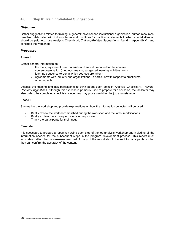# **4.6 Step 6: Training-Related Suggestions**

# *Objective*

Gather suggestions related to training in general: physical and instructional organization, human resources, possible collaboration with industry, terms and conditions for practicums, elements to which special attention should be paid, etc.; use Analysis Checklist 4, *Training-Related Suggestions,* found in Appendix VI, and conclude the workshop.

# *Procedure*

## **Phase I**

Gather general information on:

- the tools, equipment, raw materials and so forth required for the courses
- course organization (methods, means, suggested learning activities, etc.)
- learning sequence (order in which courses are taken)
- agreements with industry and organizations, in particular with respect to practicums
- other aspects

Discuss the training and ask participants to think about each point in Analysis Checklist 4, *Training-Related Suggestions.* Although this exercise is primarily used to prepare for discussion, the facilitator may also collect the completed checklists, since they may prove useful for the job analysis report.

#### **Phase II**

Summarize the workshop and provide explanations on how the information collected will be used.

- Briefly review the work accomplished during the workshop and the latest modifications.
- Briefly explain the subsequent steps in the process.
- Thank the participants for their input.

#### **Reminder**

It is necessary to prepare a report reviewing each step of the job analysis workshop and including all the information needed for the subsequent steps in the program development process. This report must accurately reflect the consensuses reached. A copy of the report should be sent to participants so that they can confirm the accuracy of the content.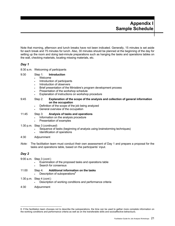Note that morning, afternoon and lunch breaks have not been indicated. Generally, 15 minutes is set aside for each break and 75 minutes for lunch. Also, 30 minutes should be planned at the beginning of the day for setting up the room and doing last-minute preparations such as hanging the tasks and operations tables on the wall, checking materials, locating missing materials, etc.

# *Day 1*

## 8:30 a.m. Welcoming of participants

- 9:30 Step 1: **Introduction** 
	- Welcome
	- Introduction of participants
	- Introduction of observers
	- Brief presentation of the Ministère's program development process
	- Presentation of the workshop schedule
	- Explanation of instructions on workshop procedure

# 9:45 Step 2: **Explanation of the scope of the analysis and collection of general information on the occupation**

- Definition of the scope of the job being analyzed
- General overview of the occupation

# 11:45 Step 3: **Analysis of tasks and operations**

- Information on the analysis procedure
- Presentation of examples
- 1:30 p.m. Step 3 (*continued*)
	- Sequence of tasks (beginning of analysis using brainstorming techniques)
	- Identification of operations
- 4:30 Adjournment
- *Note:* The facilitation team must conduct their own assessment of Day 1 and prepare a proposal for the tasks and operations table, based on the participants' input.

# *Day 2*

1

- 9:00 a.m. Step 3 (*cont.*)
	- Examination of the proposed tasks and operations table
	- Search for consensus
- 11:00 Step 4: **Additional information on the tasks** 
	- Description of suboperations $<sup>6</sup>$ </sup>
- 1:30 p.m. Step 4 (*cont.*)
	- Description of working conditions and performance criteria
- 4:30 Adjournment

<sup>6.</sup> If the facilitation team chooses not to describe the suboperations, the time can be used to gather more complete information on the working conditions and performance criteria as well as on the transferable skills and socioaffective behaviours.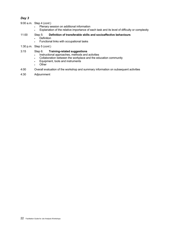# *Day 3*

## 9:00 a.m. Step 4 (*cont.*)

- Plenary session on additional information
- Explanation of the relative importance of each task and its level of difficulty or complexity

#### 11:00 Step 5: **Definition of transferable skills and socioaffective behaviours**  • Definition

- Functional links with occupational tasks
- 1:30 p.m. Step 5 (*cont.*)

# 3:15 Step 6: **Training-related suggestions**

- Instructional approaches, methods and activities
- Collaboration between the workplace and the education community
- Equipment, tools and instruments
- Other
- 4:00 Overall evaluation of the workshop and summary information on subsequent activities
- 4:30 Adjournment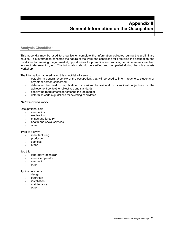# **Appendix II General Information on the Occupation**

# **Analysis Checklist 1**

This appendix may be used to organize or complete the information collected during the preliminary studies. This information concerns the nature of the work, the conditions for practising the occupation, the conditions for entering the job market, opportunities for promotion and transfer, certain elements involved in candidate selection, etc. The information should be verified and completed during the job analysis workshop.

The information gathered using this checklist will serve to:

- establish a general overview of the occupation, that will be used to inform teachers, students or any other person concerned
- determine the field of application for various behavioural or situational objectives or the achievement context for objectives and standards
- specify the requirements for entering the job market
- determine certain guidelines for selecting candidates

# *Nature of the work*

Occupational field

- mechanics
- electronics
- mines and forestry
- health and social services
- other

Type of activity

- manufacturing
- production
- services
- other

Job title

- laboratory technician
- machine operator
- mechanic
- other

#### Typical functions

- design
- operation
- **installation**
- maintenance
- other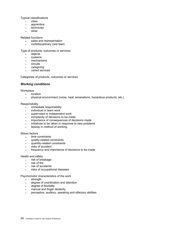Typical classifications

- class
- apprentice
- technician
- other

Related functions

- sales and representation
- multidisciplinary care team

Type of products, outcomes or services

- objects
- systems
- mechanisms
- circuits
- caregiving
- varied services

Categories of products, outcomes or services

# *Working conditions*

**Workplace** 

- **location**
- physical environment (noise, heat, emanations, hazardous products, etc.)

#### Responsibility

- immediate responsibility
- individual or team work
- supervised or independent work
- complexity of decisions to be made
- importance of consequences of decisions made
- initiatives to be taken in response to new problems
- leeway in method of working

#### Stress factors

- time constraints
- quality-related constraints
- quantity-related constraints
- risks of accident
- frequency and importance of decisions to be made

## Health and safety

- risk of breakage
- risk of fire
- risk of accidents
- risks of occupational diseases

Psychomotor characteristics of the work

- strength
- degree of coordination and attention
- degree of flexibility
- manual and finger dexterity
- perceptive, auditory, speaking and olfactory abilities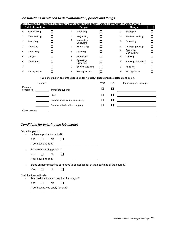|                                            | Source: National Occupational Classification. Career Handbook. 2nd ed. rev. (Ottawa: Communication Ottawa, 2003), 8. |                                   |   |                            |            |           |                |                                         |        |
|--------------------------------------------|----------------------------------------------------------------------------------------------------------------------|-----------------------------------|---|----------------------------|------------|-----------|----------------|-----------------------------------------|--------|
|                                            | Data/information                                                                                                     |                                   |   | People                     |            |           |                | <b>Things</b>                           |        |
| 0                                          | Synthesizing                                                                                                         | □                                 | 0 | Mentoring                  | □          |           | $\Omega$       | Setting up                              | П      |
| 1                                          | Co-ordinating                                                                                                        | $\Box$                            | 1 | Negotiating                | $\Box$     |           | 1              | Precision working                       | ┐      |
| 2                                          | Analyzing                                                                                                            | ΙI                                | 2 | Instructing-<br>Consulting | П          |           | $\overline{2}$ | Controlling                             | П      |
| 3                                          | Compiling                                                                                                            | $\Box$                            | 3 | Supervising                | П          |           | 3              | Driving-Operating                       | $\Box$ |
| 4                                          | Computing                                                                                                            | $\mathsf{L}$                      | 4 | Diverting                  | ΙI         |           | 4              | Operating-<br>Manipulating              | □      |
| 5                                          | Copying                                                                                                              | □                                 | 5 | Persuading                 | □          |           | 5              | Tending                                 | □      |
| 6                                          | Comparing                                                                                                            | П                                 | 6 | Speaking-<br>Signalling    | □          |           | 6              | Feeding-Offbearing                      | П      |
| 7                                          |                                                                                                                      | П                                 | 7 | Serving-Assisting          | П          |           | 7              | Handling                                | П      |
| 8                                          | Not significant                                                                                                      | $\Box$                            | 8 | Not significant            | □          |           | 8              | Not significant                         | П      |
|                                            | If you checked off any of the boxes under "People," please provide explanations below.                               |                                   |   |                            |            |           |                |                                         |        |
|                                            | Number:                                                                                                              |                                   |   |                            | <b>YES</b> | <b>NO</b> |                | Frequency of exchanges                  |        |
| Persons<br>Immediate superior<br>concerned |                                                                                                                      |                                   |   | □                          | $\Box$     |           |                |                                         |        |
|                                            |                                                                                                                      | Peer                              |   |                            | □          | $\Box$    |                |                                         |        |
|                                            |                                                                                                                      | Persons under your responsibility |   |                            | $\Box$     | □         |                | <u> 1989 - Johann Barbara, martin d</u> |        |
|                                            |                                                                                                                      | Persons outside of the company    |   |                            | П          | П         |                |                                         |        |
|                                            | Other persons                                                                                                        |                                   |   |                            |            |           |                |                                         |        |
|                                            |                                                                                                                      |                                   |   |                            |            |           |                |                                         |        |
|                                            |                                                                                                                      |                                   |   |                            |            |           |                |                                         |        |
|                                            | Conditions for entering the job market                                                                               |                                   |   |                            |            |           |                |                                         |        |
|                                            | Probation period<br>Is there a probation period?                                                                     |                                   |   |                            |            |           |                |                                         |        |
|                                            | Yes                                                                                                                  | No                                |   |                            |            |           |                |                                         |        |
|                                            | If so, how long is it?                                                                                               |                                   |   |                            |            |           |                |                                         |        |
|                                            |                                                                                                                      |                                   |   |                            |            |           |                |                                         |        |

# *Job functions in relation to data/information, people and things*

• Does an apprenticeship card have to be applied for at the beginning of the course?

 $\Box$ 

\_\_\_\_\_\_\_\_\_\_\_\_\_\_\_\_\_\_\_\_\_\_\_\_\_\_\_\_\_\_\_\_\_\_\_\_\_\_\_\_\_\_\_\_\_\_\_\_\_\_\_\_\_\_\_\_\_\_\_\_\_

Yes **No**  $\Box$ 

• Is there a learning phase? Yes  $\Box$  No

#### Qualification certificate

• Is a qualification card required for this job?

If so, how long is it? \_\_\_\_\_\_\_\_\_\_\_\_\_\_\_\_\_\_\_\_\_\_\_\_\_\_\_\_\_\_

Yes **No**  $\Box$ 

If so, how do you apply for one?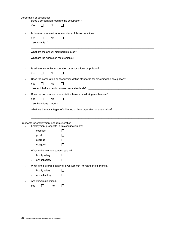Corporation or association

| Does a corporation regulate the occupation? |            |                                                                  |           |                                                                                                                                                                                                                                |  |  |  |
|---------------------------------------------|------------|------------------------------------------------------------------|-----------|--------------------------------------------------------------------------------------------------------------------------------------------------------------------------------------------------------------------------------|--|--|--|
|                                             | Yes        | $\mathbf{I}$                                                     | No        |                                                                                                                                                                                                                                |  |  |  |
|                                             |            |                                                                  |           | Is there an association for members of this occupation?                                                                                                                                                                        |  |  |  |
|                                             |            |                                                                  |           |                                                                                                                                                                                                                                |  |  |  |
|                                             | Yes        | П                                                                | No        |                                                                                                                                                                                                                                |  |  |  |
|                                             |            |                                                                  |           | If so, what is it?<br>$\frac{1}{2}$                                                                                                                                                                                            |  |  |  |
|                                             |            |                                                                  |           | What are the annual membership dues? ___________                                                                                                                                                                               |  |  |  |
|                                             |            |                                                                  |           | What are the admission requirements? University of the state of the state of the state of the state of the state of the state of the state of the state of the state of the state of the state of the state of the state of th |  |  |  |
|                                             |            |                                                                  |           | Is adherence to this corporation or association compulsory?                                                                                                                                                                    |  |  |  |
|                                             | Yes        | П                                                                | No        | $\Box$                                                                                                                                                                                                                         |  |  |  |
|                                             |            |                                                                  |           | Does the corporation or association define standards for practising the occupation?                                                                                                                                            |  |  |  |
|                                             | Yes        | $\mathsf{L}$                                                     | <b>No</b> |                                                                                                                                                                                                                                |  |  |  |
|                                             |            |                                                                  |           | If so, which document contains these standards?                                                                                                                                                                                |  |  |  |
|                                             |            | Does the corporation or association have a monitoring mechanism? |           |                                                                                                                                                                                                                                |  |  |  |
|                                             | <b>Yes</b> | $\perp$                                                          | <b>No</b> | $\mathsf{L}$                                                                                                                                                                                                                   |  |  |  |
|                                             |            |                                                                  |           |                                                                                                                                                                                                                                |  |  |  |
|                                             |            |                                                                  |           | What are the advantages of adhering to this corporation or association?                                                                                                                                                        |  |  |  |
|                                             |            |                                                                  |           |                                                                                                                                                                                                                                |  |  |  |
|                                             |            |                                                                  |           |                                                                                                                                                                                                                                |  |  |  |
|                                             |            |                                                                  |           | Prospects for employment and remuneration                                                                                                                                                                                      |  |  |  |
|                                             |            | excellent                                                        |           | Employment prospects in this occupation are:                                                                                                                                                                                   |  |  |  |
|                                             |            |                                                                  |           |                                                                                                                                                                                                                                |  |  |  |
|                                             |            | good                                                             |           |                                                                                                                                                                                                                                |  |  |  |
|                                             |            | average<br>not good                                              |           |                                                                                                                                                                                                                                |  |  |  |
|                                             |            |                                                                  |           |                                                                                                                                                                                                                                |  |  |  |
|                                             |            |                                                                  |           | What is the average starting salary?                                                                                                                                                                                           |  |  |  |
|                                             |            | hourly salary                                                    |           |                                                                                                                                                                                                                                |  |  |  |
|                                             |            | annual salary                                                    |           |                                                                                                                                                                                                                                |  |  |  |
|                                             |            |                                                                  |           | What is the average salary of a worker with 10 years of experience?                                                                                                                                                            |  |  |  |
|                                             |            | hourly salary                                                    |           |                                                                                                                                                                                                                                |  |  |  |
|                                             |            |                                                                  |           |                                                                                                                                                                                                                                |  |  |  |

**–** annual salary  $\Box$ 

 $\Box$ 

• Are workers unionized?

| Yes | No |
|-----|----|
|-----|----|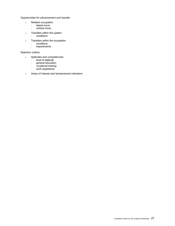Opportunities for advancement and transfer

- Related occupation
	- lateral move
	- vertical move
- Transfers within the system
	- conditions
- Transfers within the occupation
	- conditions
	- requirements

#### Selection criteria

- Aptitudes and competencies
	- level of aptitude
	- general education
	- vocational training
	- work experience
- Areas of interest and temperament indicators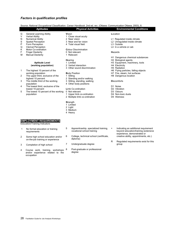# *Factors in qualification profiles*

Source: *National Occupational Classification. Career Handbook*. 2nd ed. rev. (Ottawa: Communication Ottawa, 2003), 8.

|   | <b>Aptitudes</b>                     | <b>Physical Activities</b>    | <b>Environmental Conditions</b>              |
|---|--------------------------------------|-------------------------------|----------------------------------------------|
| G | <b>General Learning Ability</b>      | Vision                        | Location                                     |
| V | <b>Verbal Ability</b>                | 1 Close visual acuity         |                                              |
| N | <b>Numerical Ability</b>             | 2 Near vision                 | L1 Regulated inside climate                  |
| S | Spatial Perception                   | 3 Near and far vision         | L2 Unregulated inside climate                |
| P | Form Perception                      | 4 Total visual field          | L3 Outside                                   |
| Q | <b>Clerical Perception</b>           |                               | L4 In a vehicle or cab                       |
| Κ | Motor Co-ordination                  | <b>Colour Discrimination</b>  |                                              |
| F | <b>Finger Dexterity</b>              | 0 Not relevant                | <b>Hazards</b>                               |
| M | <b>Manual Dexterity</b>              | 1 Relevant                    |                                              |
|   |                                      |                               | H <sub>1</sub> Dangerous chemical substances |
|   |                                      | Hearing                       | H <sub>2</sub> Biological agents             |
|   | <b>Aptitude Level</b>                | 1 Limited                     | H <sub>3</sub> Equipment, machinery, tools   |
|   | (working population)                 | 2 Verbal interaction          | H4 Electricity                               |
|   |                                      | 3 Other sound discrimination  | H <sub>5</sub> Radiation                     |
| 1 | The highest 10 percent of the        |                               | H6 Flying particles, falling objects         |
|   | working population                   | <b>Body Position</b>          | H7 Fire, steam, hot surfaces                 |
| 2 | The upper third, exclusive of the    | 1 Sitting                     | H8 Dangerous location                        |
|   | highest 10 percent                   | 2 Standing and/or walking     |                                              |
| 3 | The middle third of the working      | 3 Sitting, standing, walking  | <b>Discomforts</b>                           |
|   | population                           | 4 Other body positions        |                                              |
| 4 | The lowest third, exclusive of the   |                               | D1 Noise                                     |
|   | lowest 10 percent                    | <b>Limb Co-ordination</b>     | D <sub>2</sub> Vibration                     |
| 5 | The lowest 10 percent of the working | 0 Not relevant                | D3 Odours                                    |
|   | population                           | 1 Upper limb co-ordination    | D4 Non-toxic dusts                           |
|   |                                      | 2 Multiple limb co-ordination | D5 Wetness                                   |
|   |                                      | <b>Strength</b>               |                                              |
|   |                                      | 1 Limited                     |                                              |
|   |                                      | 2 Light                       |                                              |
|   |                                      | 3 Medium                      |                                              |
|   |                                      | 4 Heavy                       |                                              |
|   |                                      |                               |                                              |
|   |                                      |                               |                                              |

#### **EMPLOYMENT REQUIREMENTS**

Education/Training Indicators

- 1 No formal education or training requirements
- 2 Some high school education and/or on-the-job training or experience
- 3 Completion of high school
- 4 Course work, training, workshops and/or experience related to the occupation
- 5 Apprenticeship, specialized training, vocational school training
- 6 College, technical school (certificate, diploma)
- 7 Undergraduate degree
- Post-graduate or professional degree
- + Indicating an additional requirement beyond education/training (extensive experience, demonstrated or creative ability, appointments, etc.)
- R Regulated requirements exist for this group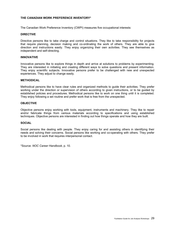## **THE CANADIAN WORK PREFERENCE INVENTORY\***

The Canadian Work Preference Inventory (CWPI) measures five occupational interests:

#### **DIRECTIVE**

Directive persons like to take charge and control situations. They like to take responsibility for projects that require planning, decision making and co-ordinating the work of others. They are able to give direction and instructions easily. They enjoy organizing their own activities. They see themselves as independent and self-directing.

#### **INNOVATIVE**

Innovative persons like to explore things in depth and arrive at solutions to problems by experimenting. They are interested in initiating and creating different ways to solve questions and present information. They enjoy scientific subjects. Innovative persons prefer to be challenged with new and unexpected experiences. They adjust to change easily.

#### **METHODICAL**

Methodical persons like to have clear rules and organized methods to guide their activities. They prefer working under the direction or supervision of others according to given instructions, or to be guided by established policies and procedures. Methodical persons like to work on one thing until it is completed. They enjoy following a set routine and prefer work that is free from the unexpected.

#### **OBJECTIVE**

Objective persons enjoy working with tools, equipment, instruments and machinery. They like to repair and/or fabricate things from various materials according to specifications and using established techniques. Objective persons are interested in finding out how things operate and how they are built.

#### **SOCIAL**

Social persons like dealing with people. They enjoy caring for and assisting others in identifying their needs and solving their concerns. Social persons like working and co-operating with others. They prefer to be involved in work that requires interpersonal contact.

\*Source: *NOC Career Handbook*, p. 10.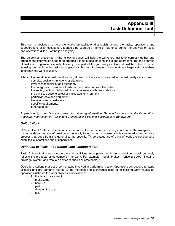This tool is designed to help the workshop facilitator distinguish among the tasks, operations and suboperations of an occupation. It should be used as a frame of reference during the analysis of tasks and operations (Step 3 of the job analysis).

The guidelines presented in the following pages will help the workshop facilitator correctly gather and organize the information needed to produce a table of occupational tasks and operations. But the analysis of tasks and operations constitutes only one part of the job analysis. Care should be taken to avoid focusing too much on the tasks and operations, but also to take into consideration a larger set of variables inherent in the work situation.

A host of information should therefore be gathered on the aspects involved in the task analysis, such as:

- complex positions, functions or situations
- level of responsibility and autonomy
- the categories of people with whom the worker comes into contact
- the social, political, civil or administrative nature of human relations
- the physical, psychological or intellectual environment
- particular tools and equipment
- limitations and constraints
- specific requirements
- other aspects

Appendixes II, IV and V are also used for gathering information: *General Information on the Occupation*, *Additional Information on Tasks*, and *Transferable Skills and Socioaffective Behaviours*.

# *Unit of Work*

 A "unit of work" refers to the actions carried out in the course of performing a function in the workplace. It corresponds to the type of breakdown generally found in task analyses and is structured according to a process that goes from the general to the specific. Three categories of units of work are considered a priori: tasks, operations and suboperations.

# *Definition of "task," "operation" and "suboperation"*

Task: Actions that correspond to the main activities to be performed in an occupation; a task generally reflects the products or outcomes of the work. For example, "repair brakes," "drive a truck," "install a drainage system" and "make a device (orthosis or prosthesis)."

Operation: Actions that describe the steps involved in performing a task. Operations correspond to steps of tasks and are primarily related to the methods and techniques used or to existing work habits; an operation illustrates the work process. For example:

- for the task "drive a truck":
- make turns
- back up
- park
- drive on the road
- etc.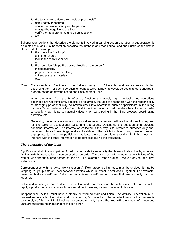- for the task "make a device (orthosis or prosthesis)":
	- apply safety measures
	- shape the device directly on the person
	- change the negative to positive
	- verify the measurements and do calculations
	- etc.

Suboperation: Actions that describe the elements involved in carrying out an operation; a suboperation is a substep of a task. A suboperation specifies the methods and techniques used and illustrates the details of the work. For example:

- for the operation "back up":
	- shift into reverse
	- look in the rearview mirror
	- etc.
	- for the operation "shape the device directly on the person":
	- inhibit spasticity
	- prepare the skin for moulding
	- cut and prepare materials
	- etc.
- *Note:* For a simple job function such as "drive a heavy truck," the suboperations are so simple that describing them for each operation is not necessary. It may, however, be useful to do it anyway in order to better identify the scope and limits of other units.

When the level of complexity of a job function is relatively high, the tasks and operations described are not sufficiently specific. For example, the task of a technician with the responsibility of managing personnel may be broken down into operations such as "participate in the hiring process," "coordinate activities," etc. Additional information should therefore be collected in order to specify what this person actually does when participating in the hiring process, coordinating activities, etc.

Generally, the job analysis workshop should serve to gather and validate the information required for the table of occupational tasks and operations. Describing the suboperations provides additional information. The information collected in this way is for reference purposes only and, because of lack of time, is generally not validated. The facilitation team may, however, deem it appropriate to have the participants validate the suboperations providing that this does not interfere with the other information to be gathered during the workshop.

#### *Characteristics of the tasks*

Significance within the occupation: A task corresponds to an activity that is easy to describe by a person familiar with the occupation. It can be used as an order. The task is one of the main responsibilities of the worker, who spends a large portion of time on it. For example, "repair brakes," "make a device" and "give a shampoo."

Correspondence with the actual work situation: Artificial groupings into tasks must be avoided. It may be tempting to group different occupational activities which, in effect, never occur together. For example, "take the brakes apart" and "take the transmission apart" are not tasks that are normally grouped together.

Value and meaning in and of itself: The unit of work that makes up the task is complete; for example, "apply a product" or "drain a hydraulic system" do not have any value or meaning in isolation.

Independence: A task must have a clearly determined start and finish. The activity undertaken must proceed entirely within the unit of work; for example, "activate the cutter in order to ensure that the tree is completely cut" is a unit that involves the preceding unit, "grasp the tree with the machine"; these two units are therefore not independent of each other.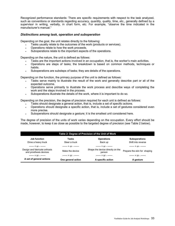Recognized performance standards: There are specific requirements with respect to the task analyzed, such as conventions or standards regarding accuracy, quantity, quality, time, etc., generally defined by a supervisor in writing, verbally, in chart form, etc. For example, "observe the time indicated in the manufacturer's manual."

# *Distinctions among task, operation and suboperation*

Depending on the goal, the unit relates directly to the following:

- Tasks usually relate to the outcomes of the work (products or services).
- Operations relate to how the work proceeds.
- Suboperations relate to the important aspects of the operations.

Depending on the nature, the unit is defined as follows:

- Tasks are the important actions involved in an occupation, that is, the worker's main activities.
- Operations are steps of tasks; the breakdown is based on common methods, techniques or habits.
- Suboperations are substeps of tasks; they are details of the operations.

Depending on the function, the primary purpose of the unit is defined as follows:

- Tasks serve mainly to illustrate the result of the work and generally describe part or all of the expected outcome.
- Operations serve primarily to illustrate the work process and describe ways of completing the work and the steps involved in the process.
- Suboperations illustrate the details of the work, where it is important to do so.

Depending on the precision, the degree of precision required for each unit is defined as follows:

- Tasks should designate a general action, that is, include a set of specific actions.
- Operations should designate a specific action, that is, include a set of gestures considered even more precise.
- Suboperations should designate a gesture; it is the smallest unit considered here.

The degree of precision of the units of work varies depending on the occupation. Every effort should be made, however, to keep it as close as possible to the targeted degree of precision (see Table 2 below).

| Table 2: Degree of Precision of the Unit of Work        |                                   |                                            |                                            |  |  |  |
|---------------------------------------------------------|-----------------------------------|--------------------------------------------|--------------------------------------------|--|--|--|
| Job function<br>Drive a heavy truck                     | Tasks<br>Steer a truck            | <b>Operations</b><br>Back up               | <b>Suboperations</b><br>Shift into reverse |  |  |  |
| $\frac{1}{1}$ + or - $\frac{1}{1}$                      | $\frac{1}{1}$ + or $\frac{1}{1}$  | $\frac{1}{1}$ + or - $\frac{1}{1}$         | $-$ + or - $-$                             |  |  |  |
| Design and fabricate orthosis<br>and prosthesis devices | Make the device                   | Shape the device directly on the<br>person | Prepare the skin for shaping               |  |  |  |
| $\frac{1}{1}$ + or - $\frac{1}{1}$                      | $-\rightarrow$ tor $-\rightarrow$ | $\frac{1}{1}$ + or - $\frac{1}{1}$         | $-$ + or - $-$                             |  |  |  |
| A set of general actions                                | One general action                | A specific action                          | A gesture                                  |  |  |  |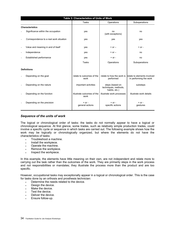| Table 3: Characteristics of Units of Work |                                    |                                                          |                                                       |  |  |
|-------------------------------------------|------------------------------------|----------------------------------------------------------|-------------------------------------------------------|--|--|
|                                           | <b>Tasks</b>                       | Operations                                               | Suboperations                                         |  |  |
| <b>Characteristics</b>                    |                                    |                                                          |                                                       |  |  |
| Significance within the occupation        | yes                                | no<br>(with exceptions)                                  | no                                                    |  |  |
| Correspondence to a real work situation   | yes                                | yes                                                      | yes                                                   |  |  |
| Value and meaning in and of itself        | yes                                | $+$ or $-$                                               | $+$ or $-$                                            |  |  |
| Independence                              | yes                                | $+$ or $-$                                               | no                                                    |  |  |
| Established performance                   | yes                                | $+$ or $-$                                               | no                                                    |  |  |
|                                           | <b>Tasks</b>                       | Operations                                               | Suboperations                                         |  |  |
| <b>Definitions</b>                        |                                    |                                                          |                                                       |  |  |
| Depending on the goal                     | relate to outcomes of the<br>work  | relate to how the work is<br>performed                   | relate to elements involved<br>in performing the work |  |  |
| Depending on the nature                   | important activities               | steps (based on<br>techniques, methods,<br>habits, etc.) | substeps                                              |  |  |
| Depending on the function                 | illustrate outcomes of the<br>work | illustrate work processes                                | illustrate work details                               |  |  |
| Depending on the precision                | $+$ or $-$<br>general actions      | $+$ or $-$<br>specific actions                           | $+$ or $-$<br>gestures                                |  |  |

# *Sequence of the units of work*

The logical or chronological order of tasks: the tasks do not normally appear to have a logical or chronological sequence. At first glance, some trades, such as relatively simple production trades, could involve a specific cycle or sequence in which tasks are carried out. The following example shows how the work may be logically or chronologically organized, but where the elements do not have the characteristics of tasks:

- Troubleshoot a machine.
- Install the workpiece.
- Operate the machine.
- Remove the workpiece.
- Inspect the workpiece.

In this example, the elements have little meaning on their own, are not independent and relate more to carrying out the task rather than the outcomes of the work. They are primarily steps in the work process and not responsibilities or mandates; they illustrate the process more than the product and are too specific.

However, occupational tasks may exceptionally appear in a logical or chronological order. This is the case for tasks done by an orthosis and prosthesis technician:

- Determine the needs related to the device.
- Design the device.
- Make the device.
- Test the device.
- Deliver the device.
- Ensure follow-up.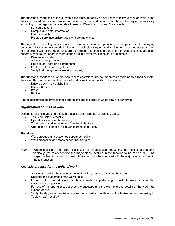The functional sequence of tasks: even if the tasks generally do not seem to follow a regular cycle, often they are carried out in a sequence that depends on the work situation or place. The sequence may vary according to the organizational models in use in different workplaces. For example:

- Keyboard letters.
- Compile and enter information.
- File documents.
- Prepare purchase orders and distribute materials.

The logical or chronological sequence of operations: because operations are steps involved in carrying out a task, they occur in a certain logical or chronological sequence when the task is carried out according to a specific cycle or the operations are performed in a specific order. The methods or techniques used generally require that operations be carried out in a systematic fashion. For example:

- Dismantle a system.
- Verify the components.
- Replace any defective components.
- Put the system back together.
- Verify that the system is working properly.

The functional sequence of operations: where operations are not organized according to a regular cycle, they are often carried out on the basis of work situations or habits. For example:

- Drive a truck in a straight line.
- Make a turn.
- Brake.
- Back up.

(The road situation determines these operations and the order in which they are performed.)

## *Organization of units of work*

Occupational tasks and operations are usually organized as follows in a table:

- Tasks are listed vertically.
- Operations are listed horizontally.
- Tasks are placed in sequence from top to bottom.
- Operations are placed in sequence from left to right.

Therefore:

- Work products and outcomes appear vertically.
- Work processes and steps appear horizontally.
- *Note:* Where tasks are organized in a logical or chronological sequence, the major steps appear vertically (the tasks become the major steps involved in the function to be carried out). The steps involved in carrying out each task should not be confused with the major steps involved in the job function.

## *Analysis process for the units of work*

- Specify and define the scope of the job function, the occupation or the trade.
- Describe the outcomes of the work: tasks.
- For one of the tasks, describe the phases involved in performing the task, the work steps and the work process: operations.
- For one of the operations, describe the substeps and the elements and details of the work: the suboperations.
- Verify the degree of precision required for a series of units along the horizontal axis, referring to Table 4, *Units of Work*.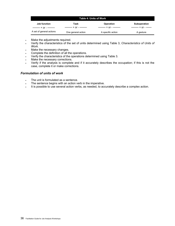| <b>Table 4: Units of Work</b>    |                                       |                                  |                                  |  |  |
|----------------------------------|---------------------------------------|----------------------------------|----------------------------------|--|--|
| Job function                     | Task                                  | Operation                        | <b>Suboperation</b>              |  |  |
| $\frac{1}{1}$ + or $\frac{1}{1}$ | $-\rightarrow$ 0 + 0 + $-\rightarrow$ | $\frac{1}{1}$ + or $\frac{1}{1}$ | $\frac{1}{1}$ + or $\frac{1}{1}$ |  |  |
| A set of general actions         | One general action                    | A specific action                | A gesture                        |  |  |

- Make the adjustments required.
- Verify the characteristics of the set of units determined using Table 3, *Characteristics of Units of Work*.
- Make the necessary changes.
- Complete the definition of all the operations.
- Verify the characteristics of the operations determined using Table 3.
- Make the necessary corrections.
- Verify if the analysis is complete and if it accurately describes the occupation; if this is not the case, complete it or make corrections.

# *Formulation of units of work*

- The unit is formulated as a sentence.
- The sentence begins with an action verb in the imperative.
- It is possible to use several action verbs, as needed, to accurately describe a complex action.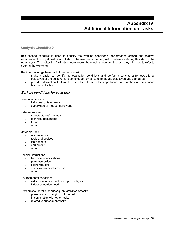# **Analysis Checklist 2**

This second checklist is used to specify the working conditions, performance criteria and relative importance of occupational tasks. It should be used as a memory aid or reference during this step of the job analysis. The better the facilitation team knows the checklist content, the less they will need to refer to it during the workshop.

The information gathered with this checklist will:

- make it easier to identify the evaluation conditions and performance criteria for operational objectives or the achievement context, performance criteria, and objectives and standards
- provide information that will be used to determine the importance and duration of the various learning activities

## *Working conditions for each task*

Level of autonomy

- individual or team work
- supervised or independent work

#### References used

- manufacturers' manuals
- technical documents
- forms
- other

#### Materials used

- raw materials
- tools and devices
- **instruments**
- equipment
- other

#### Special instructions

- technical specifications
- purchase orders
- client requests
- specific data or information
- other

Environmental conditions

- risks: risks of accident, toxic products, etc.
- indoor or outdoor work

Prerequisite, parallel or subsequent activities or tasks

- prerequisite to carrying out the task
- in conjunction with other tasks
- related to subsequent tasks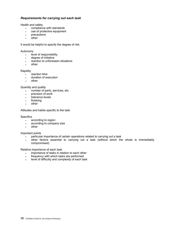# *Requirements for carrying out each task*

Health and safety

- compliance with standards<br>• use of protective equipment
- use of protective equipment
- precautions
- other

It would be helpful to specify the degree of risk.

#### Autonomy

- level of responsibility
- degree of initiative
- reaction to unforeseen situations
- other

#### **Rapidity**

- reaction time
- duration of execution
- other

#### Quantity and quality

- number of parts, services, etc.
- precision of work
- tolerance levels
- finishing
- other

Attitudes and habits specific to the task

#### **Specifics**

- according to region
- according to company size
- other

#### Important points

- particular importance of certain operations related to carrying out a task
- other factors essential to carrying out a task (without which the whole is irremediably compromised)

Relative importance of each task

- importance of tasks in relation to each other
- frequency with which tasks are performed
- level of difficulty and complexity of each task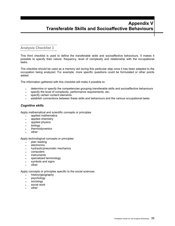# **Appendix V Transferable Skills and Socioaffective Behaviours**

# **Analysis Checklist 3**

This third checklist is used to define the transferable skills and socioaffective behaviours. It makes it possible to specify their nature, frequency, level of complexity and relationship with the occupational tasks.

The checklist should be used as a memory aid during this particular step once it has been adapted to the occupation being analyzed. For example, more specific questions could be formulated or other points added.

The information gathered with this checklist will make it possible to:

- determine or specify the competencies grouping transferable skills and socioaffective behaviours
- specify the level of complexity, performance requirements, etc.
- specify certain content elements
- establish connections between these skills and behaviours and the various occupational tasks

# *Cognitive skills*

Apply mathematical and scientific concepts or principles

- applied mathematics
- applied chemistry
- applied physics
- biology
- thermodynamics
- other

Apply technological concepts or principles

- plan reading
- **electronics**
- hydraulic/pneumatic mechanics
- computers
- **instruments**
- specialized terminology
- symbols and signs
- other

Apply concepts or principles specific to the social sciences

- history/geography
- psychology
- sociology
- social work
- other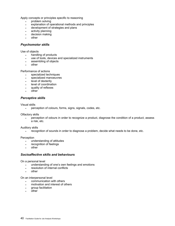Apply concepts or principles specific to reasoning

- problem solving
- explanation of operational methods and principles
- development of strategies and plans
- activity planning
- decision making
- other

#### *Psychomotor skills*

Use of objects

- handling of products
- use of tools, devices and specialized instruments
- assembling of objects
- other

Performance of actions

- specialized techniques
- specialized manoeuvres
- level of dexterity
- level of coordination
- quality of reflexes
- other

## *Perceptive skills*

Visual skills

• perception of colours, forms, signs, signals, codes, etc.

Olfactory skills

• perception of odours in order to recognize a product, diagnose the condition of a product, assess a risk, etc.

Auditory skills

• recognition of sounds in order to diagnose a problem, decide what needs to be done, etc.

Perception

- understanding of attitudes
- recognition of feelings
- other

#### *Socioaffective skills and behaviours*

On a personal level

- understanding of one's own feelings and emotions
- resolution of internal conflicts
- other

On an interpersonal level

- communication with others
- motivation and interest of others
- group facilitation
- other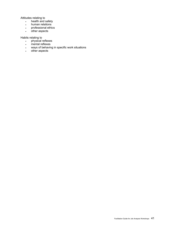Attitudes relating to

- health and safety
- human relations
- professional ethics
- other aspects

# Habits relating to

- physical reflexes
- mental reflexes
- ways of behaving in specific work situations
- other aspects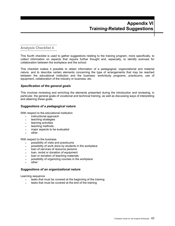# **Analysis Checklist 4**

This fourth checklist is used to gather suggestions relating to the training program, more specifically, to collect information on aspects that require further thought and, especially, to identify avenues for collaboration between the workplace and the school.

This checklist makes it possible to obtain information of a pedagogical, organizational and material nature, and to describe certain elements concerning the type of arrangements that may be reached between the educational institution and the business: work/study programs, practicums, use of equipment, collaboration of the industry or business, etc.

# *Specification of the general goals*

This involves reviewing and enriching the elements presented during the introduction and reviewing, in particular, the general goals of vocational and technical training, as well as discussing ways of interpreting and attaining these goals.

## *Suggestions of a pedagogical nature*

With respect to the educational institution

- instructional approach
- teaching strategies
- learning activities
- teaching methods
- major aspects to be evaluated
- other

With respect to the business

- possibility of visits and practicums
- possibility of work done by students in the workplace
- loan of services of resource persons
- loan, rental or donation of equipment
- loan or donation of teaching materials
- possibility of organizing courses in the workplace
- other

# *Suggestions of an organizational nature*

Learning sequence

- tasks that must be covered at the beginning of the training
- tasks that must be covered at the end of the training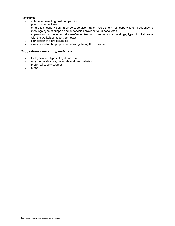#### **Practicums**

- criteria for selecting host companies
- practicum objectives
- on-the-job supervision (trainee/supervisor ratio, recruitment of supervisors, frequency of meetings, type of support and supervision provided to trainees, etc.)
- supervision by the school (trainee/supervisor ratio, frequency of meetings, type of collaboration with the workplace supervisor, etc.)
- completion of a practicum log
- evaluations for the purpose of learning during the practicum

## *Suggestions concerning materials*

- tools, devices, types of systems, etc.
- recycling of devices, materials and raw materials
- preferred supply sources
- other